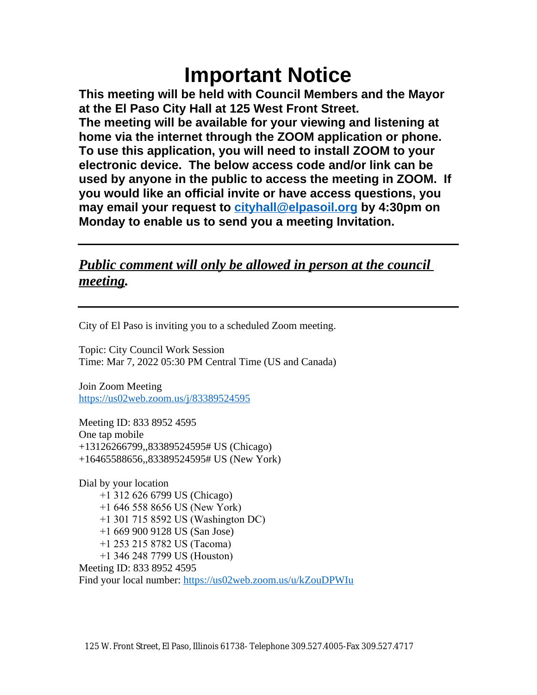# **Important Notice**

**This meeting will be held with Council Members and the Mayor at the El Paso City Hall at 125 West Front Street. The meeting will be available for your viewing and listening at home via the internet through the ZOOM application or phone. To use this application, you will need to install ZOOM to your electronic device. The below access code and/or link can be used by anyone in the public to access the meeting in ZOOM. If you would like an official invite or have access questions, you may email your request to [cityhall@elpasoil.org](mailto:cityhall@elpasoil.org) by 4:30pm on Monday to enable us to send you a meeting Invitation.**

### *Public comment will only be allowed in person at the council meeting.*

City of El Paso is inviting you to a scheduled Zoom meeting.

Topic: City Council Work Session Time: Mar 7, 2022 05:30 PM Central Time (US and Canada)

Join Zoom Meeting <https://us02web.zoom.us/j/83389524595>

Meeting ID: 833 8952 4595 One tap mobile +13126266799,,83389524595# US (Chicago) +16465588656,,83389524595# US (New York)

Dial by your location +1 312 626 6799 US (Chicago) +1 646 558 8656 US (New York) +1 301 715 8592 US (Washington DC) +1 669 900 9128 US (San Jose) +1 253 215 8782 US (Tacoma) +1 346 248 7799 US (Houston) Meeting ID: 833 8952 4595 Find your local number:<https://us02web.zoom.us/u/kZouDPWIu>